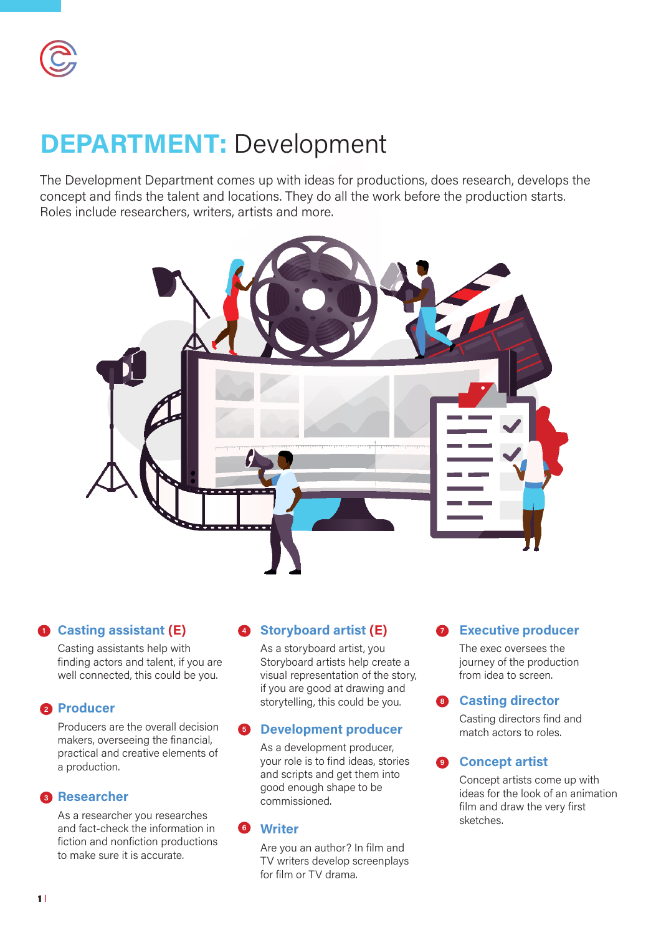# **DEPARTMENT:** Development

The Development Department comes up with ideas for productions, does research, develops the concept and finds the talent and locations. They do all the work before the production starts. Roles include researchers, writers, artists and more.



#### **Casting assistant (E) Storyboard artist (E) 1 4 7**

Casting assistants help with finding actors and talent, if you are well connected, this could be you.

#### 2 Producer

Producers are the overall decision makers, overseeing the financial, practical and creative elements of a production.

#### **8** Researcher

As a researcher you researches and fact-check the information in fiction and nonfiction productions to make sure it is accurate.

As a storyboard artist, you Storyboard artists help create a visual representation of the story, if you are good at drawing and storytelling, this could be you.

#### **Development producer 5**

As a development producer, your role is to find ideas, stories and scripts and get them into good enough shape to be commissioned.

#### **Writer 6**

Are you an author? In film and TV writers develop screenplays for film or TV drama.

### **Executive producer**

The exec oversees the journey of the production from idea to screen.

#### **Casting director 8**

Casting directors find and match actors to roles.

#### **9** Concept artist

Concept artists come up with ideas for the look of an animation film and draw the very first sketches.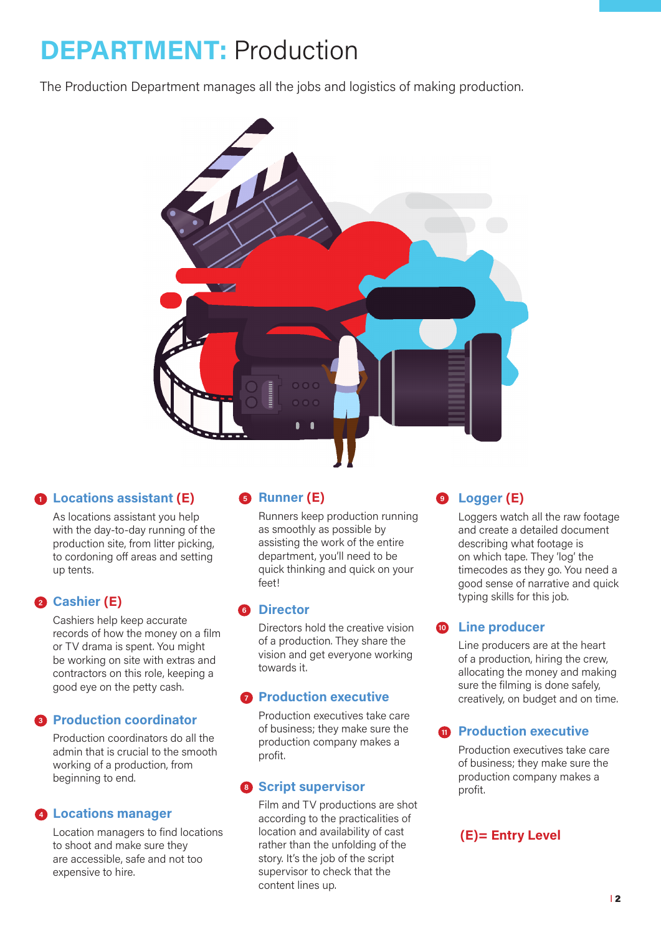## **DEPARTMENT:** Production

The Production Department manages all the jobs and logistics of making production.



### **Locations assistant (E) 1**

As locations assistant you help with the day-to-day running of the production site, from litter picking, to cordoning off areas and setting up tents.

### **2** Cashier (E)

Cashiers help keep accurate records of how the money on a film or TV drama is spent. You might be working on site with extras and contractors on this role, keeping a good eye on the petty cash.

#### **Production coordinator 3**

Production coordinators do all the admin that is crucial to the smooth working of a production, from beginning to end.

#### **Locations manager 4**

Location managers to find locations to shoot and make sure they are accessible, safe and not too expensive to hire.

### **8 Runner (E) 9 9**

Runners keep production running as smoothly as possible by assisting the work of the entire department, you'll need to be quick thinking and quick on your feet!

#### **Director 6**

Directors hold the creative vision of a production. They share the vision and get everyone working towards it.

#### **Production executive**

Production executives take care of business; they make sure the production company makes a profit.

Film and TV productions are shot according to the practicalities of location and availability of cast rather than the unfolding of the story. It's the job of the script supervisor to check that the content lines up.

### **Logger (E)**

Loggers watch all the raw footage and create a detailed document describing what footage is on which tape. They 'log' the timecodes as they go. You need a good sense of narrative and quick typing skills for this job.

#### **Line producer 10**

Line producers are at the heart of a production, hiring the crew, allocating the money and making sure the filming is done safely, creatively, on budget and on time.

#### **Production executive**

Production executives take care of business; they make sure the **8 Script supervisor by the set of the Script supervisor** production company makes a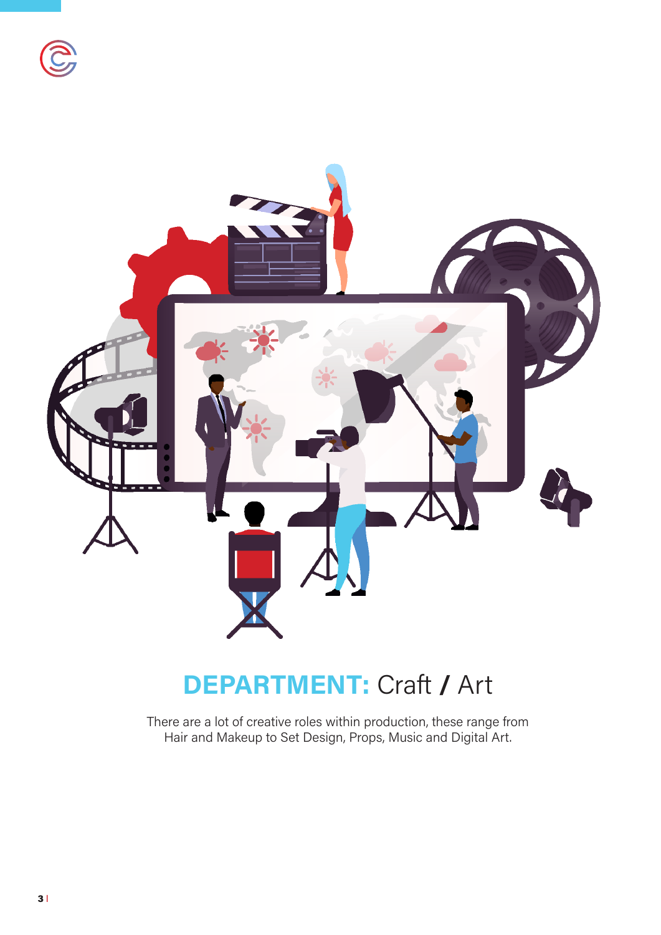



## **DEPARTMENT:** Craft **/** Art

There are a lot of creative roles within production, these range from Hair and Makeup to Set Design, Props, Music and Digital Art.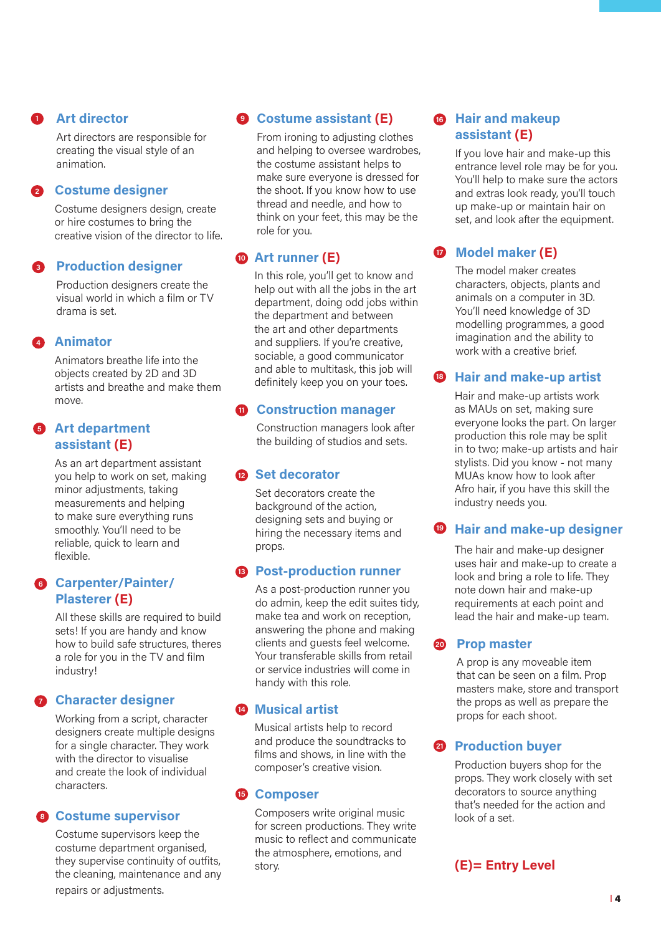#### **Art director 1**

Art directors are responsible for creating the visual style of an animation.

#### **Costume designer 2**

Costume designers design, create or hire costumes to bring the creative vision of the director to life.

### **Production designer 3**

Production designers create the visual world in which a film or TV drama is set.

#### **4** Animator

Animators breathe life into the objects created by 2D and 3D artists and breathe and make them move.

#### **B** Art department **assistant (E)**

As an art department assistant you help to work on set, making minor adjustments, taking measurements and helping to make sure everything runs smoothly. You'll need to be reliable, quick to learn and flexible.

#### **Carpenter/Painter/ 6 Plasterer (E)**

All these skills are required to build sets! If you are handy and know how to build safe structures, theres a role for you in the TV and film industry!

### **Character designer 7**

Working from a script, character designers create multiple designs for a single character. They work with the director to visualise and create the look of individual characters.

#### **Costume supervisor 8**

Costume supervisors keep the costume department organised, they supervise continuity of outfits, the cleaning, maintenance and any repairs or adjustments.

## **9** Costume assistant (E)

From ironing to adjusting clothes and helping to oversee wardrobes, the costume assistant helps to make sure everyone is dressed for the shoot. If you know how to use thread and needle, and how to think on your feet, this may be the role for you.

## **Art runner (E) 10**

In this role, you'll get to know and help out with all the jobs in the art department, doing odd jobs within the department and between the art and other departments and suppliers. If you're creative, sociable, a good communicator and able to multitask, this job will definitely keep you on your toes.

### **n** Construction manager

Construction managers look after the building of studios and sets.

#### **2** Set decorator

Set decorators create the background of the action, designing sets and buying or hiring the necessary items and props.

### **Post-production runner 13**

As a post-production runner you do admin, keep the edit suites tidy, make tea and work on reception, answering the phone and making clients and guests feel welcome. Your transferable skills from retail or service industries will come in handy with this role.

### **2** Musical artist

Musical artists help to record and produce the soundtracks to films and shows, in line with the composer's creative vision.

#### **B** Composer

Composers write original music for screen productions. They write music to reflect and communicate the atmosphere, emotions, and story.

#### **B** Hair and makeup **assistant (E)**

If you love hair and make-up this entrance level role may be for you. You'll help to make sure the actors and extras look ready, you'll touch up make-up or maintain hair on set, and look after the equipment.

## **D** Model maker (E)

The model maker creates characters, objects, plants and animals on a computer in 3D. You'll need knowledge of 3D modelling programmes, a good imagination and the ability to work with a creative brief.

### **Hair and make-up artist 18**

Hair and make-up artists work as MAUs on set, making sure everyone looks the part. On larger production this role may be split in to two; make-up artists and hair stylists. Did you know - not many MUAs know how to look after Afro hair, if you have this skill the industry needs you.

### **P** Hair and make-up designer

The hair and make-up designer uses hair and make-up to create a look and bring a role to life. They note down hair and make-up requirements at each point and lead the hair and make-up team.

#### **20** Prop master

A prop is any moveable item that can be seen on a film. Prop masters make, store and transport the props as well as prepare the props for each shoot.

### **Production buyer 21**

Production buyers shop for the props. They work closely with set decorators to source anything that's needed for the action and look of a set.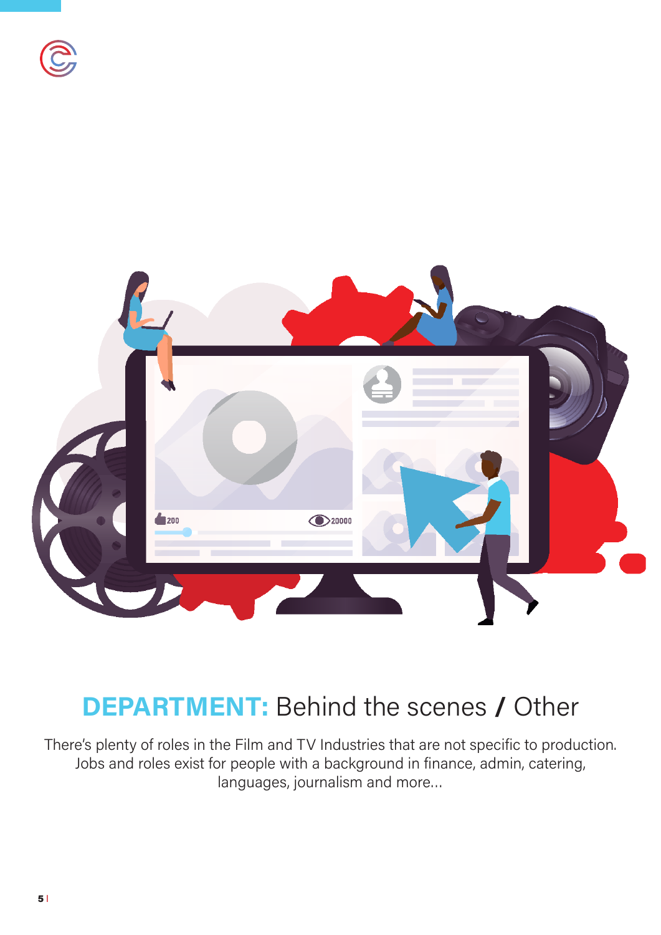



## **DEPARTMENT:** Behind the scenes **/** Other

There's plenty of roles in the Film and TV Industries that are not specific to production. Jobs and roles exist for people with a background in finance, admin, catering, languages, journalism and more…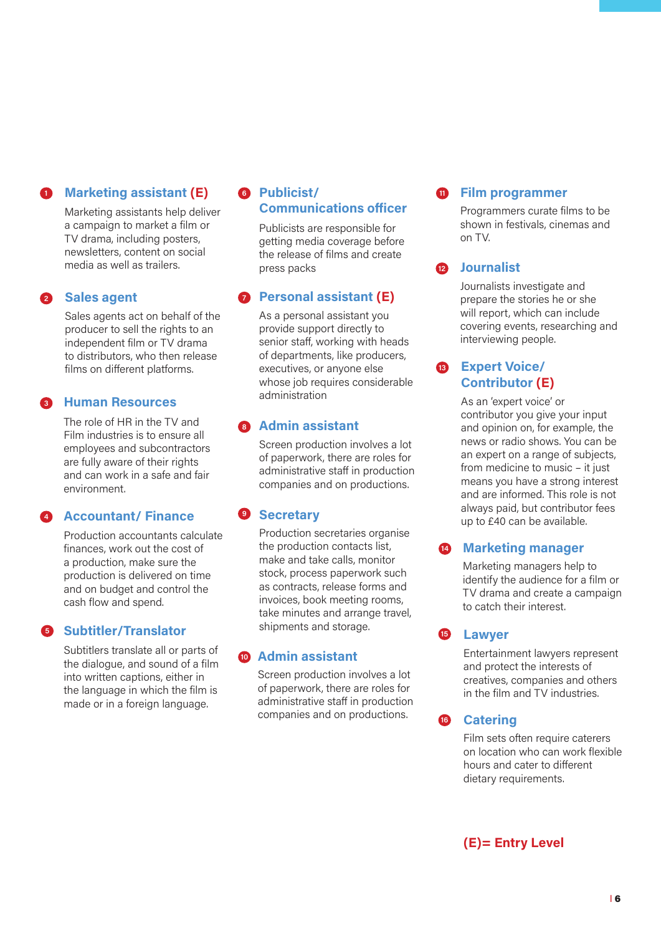#### **Marketing assistant (E) 1**

Marketing assistants help deliver a campaign to market a film or TV drama, including posters, newsletters, content on social media as well as trailers.

#### **Sales agent 2**

Sales agents act on behalf of the producer to sell the rights to an independent film or TV drama to distributors, who then release films on different platforms.

#### **Human Resources 3**

The role of HR in the TV and Film industries is to ensure all employees and subcontractors are fully aware of their rights and can work in a safe and fair environment.

#### **Accountant/ Finance 4**

Production accountants calculate finances, work out the cost of a production, make sure the production is delivered on time and on budget and control the cash flow and spend.

### **Subtitler/Translator 5**

Subtitlers translate all or parts of the dialogue, and sound of a film into written captions, either in the language in which the film is made or in a foreign language.

#### **Publicist/ 6 Communications officer**

Publicists are responsible for getting media coverage before the release of films and create press packs

## **Personal assistant (E)**

As a personal assistant you provide support directly to senior staff, working with heads of departments, like producers, executives, or anyone else whose job requires considerable administration

### **Admin assistant 8**

Screen production involves a lot of paperwork, there are roles for administrative staff in production companies and on productions.

### **9** Secretary

Production secretaries organise the production contacts list, make and take calls, monitor stock, process paperwork such as contracts, release forms and invoices, book meeting rooms, take minutes and arrange travel, shipments and storage.

### **Admin assistant 10**

Screen production involves a lot of paperwork, there are roles for administrative staff in production companies and on productions.

#### **Film programmer**

Programmers curate films to be shown in festivals, cinemas and on TV.

#### **Journalist 12**

**11**

Journalists investigate and prepare the stories he or she will report, which can include covering events, researching and interviewing people.

## **Expert Voice/ 13 Contributor (E)**

As an 'expert voice' or contributor you give your input and opinion on, for example, the news or radio shows. You can be an expert on a range of subjects, from medicine to music – it just means you have a strong interest and are informed. This role is not always paid, but contributor fees up to £40 can be available.

#### **14** Marketing manager

Marketing managers help to identify the audience for a film or TV drama and create a campaign to catch their interest.

#### **Lawyer 15**

Entertainment lawyers represent and protect the interests of creatives, companies and others in the film and TV industries.

### *Catering*

Film sets often require caterers on location who can work flexible hours and cater to different dietary requirements.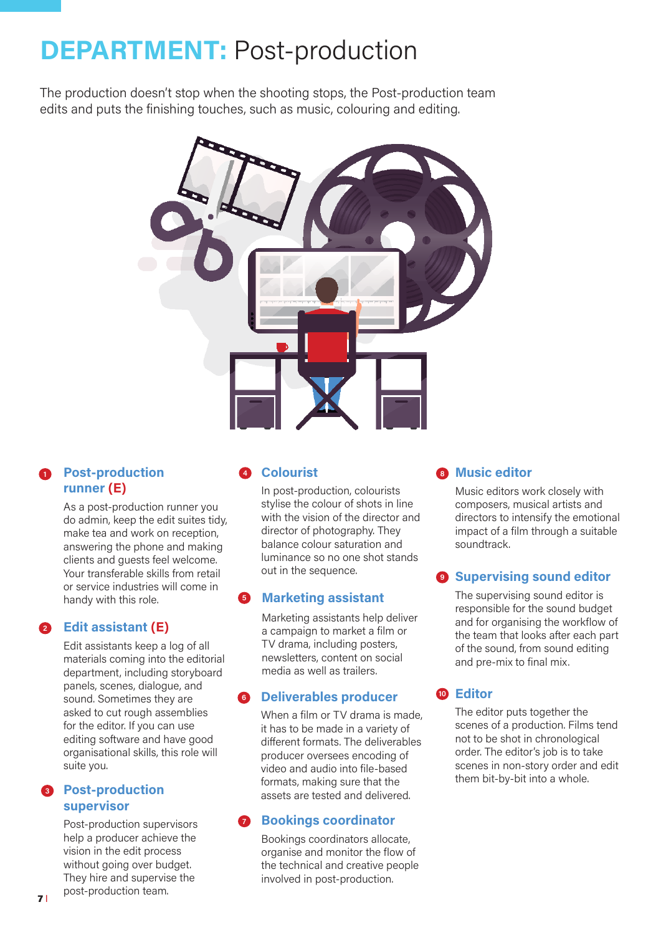# **DEPARTMENT:** Post-production

The production doesn't stop when the shooting stops, the Post-production team edits and puts the finishing touches, such as music, colouring and editing.

![](_page_6_Picture_2.jpeg)

#### **1** Post-production **runner (E)**

As a post-production runner you do admin, keep the edit suites tidy, make tea and work on reception, answering the phone and making clients and guests feel welcome. Your transferable skills from retail or service industries will come in handy with this role.

## **Edit assistant (E) 2**

Edit assistants keep a log of all materials coming into the editorial department, including storyboard panels, scenes, dialogue, and sound. Sometimes they are asked to cut rough assemblies for the editor. If you can use editing software and have good organisational skills, this role will suite you.

## **Post-production 3 supervisor**

Post-production supervisors help a producer achieve the vision in the edit process without going over budget. They hire and supervise the post-production team.

## **Colourist 4 8**

In post-production, colourists stylise the colour of shots in line with the vision of the director and director of photography. They balance colour saturation and luminance so no one shot stands out in the sequence.

## **Marketing assistant 5**

Marketing assistants help deliver a campaign to market a film or TV drama, including posters, newsletters, content on social media as well as trailers.

## **6** Deliverables producer

When a film or TV drama is made, it has to be made in a variety of different formats. The deliverables producer oversees encoding of video and audio into file-based formats, making sure that the assets are tested and delivered.

## **Bookings coordinator**

Bookings coordinators allocate, organise and monitor the flow of the technical and creative people involved in post-production.

## **<sup>8</sup>** Music editor

Music editors work closely with composers, musical artists and directors to intensify the emotional impact of a film through a suitable soundtrack.

## **9 Supervising sound editor**

The supervising sound editor is responsible for the sound budget and for organising the workflow of the team that looks after each part of the sound, from sound editing and pre-mix to final mix.

## **Editor 10**

The editor puts together the scenes of a production. Films tend not to be shot in chronological order. The editor's job is to take scenes in non-story order and edit them bit-by-bit into a whole.